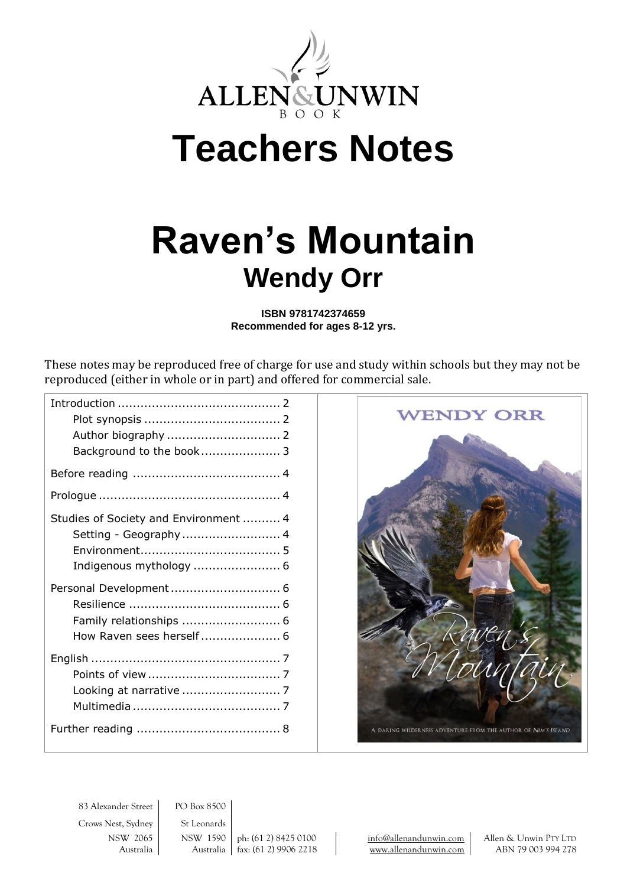

# **Teachers Notes**

# **Raven's Mountain Wendy Orr**

**ISBN 9781742374659 Recommended for ages 8-12 yrs.**

These notes may be reproduced free of charge for use and study within schools but they may not be reproduced (either in whole or in part) and offered for commercial sale.

| Background to the book 3              |  |
|---------------------------------------|--|
|                                       |  |
|                                       |  |
| Studies of Society and Environment  4 |  |
| Setting - Geography 4                 |  |
|                                       |  |
| Indigenous mythology  6               |  |
|                                       |  |
|                                       |  |
| Family relationships  6               |  |
| How Raven sees herself 6              |  |
|                                       |  |
|                                       |  |
|                                       |  |
|                                       |  |
|                                       |  |
|                                       |  |



83 Alexander Street PO Box 8500 Crows Nest, Sydney | St Leonards

NSW 2065 NSW 1590 ph: (61 2) 8425 0100 [info@allenandunwin.com](mailto:info@allenandunwin.com) Allen & Unwin PTY LTD Australia Australia fax: (61 2) 9906 2218 [www.allenandunwin.com](http://www.allenandunwin.com/) ABN 79 003 994 278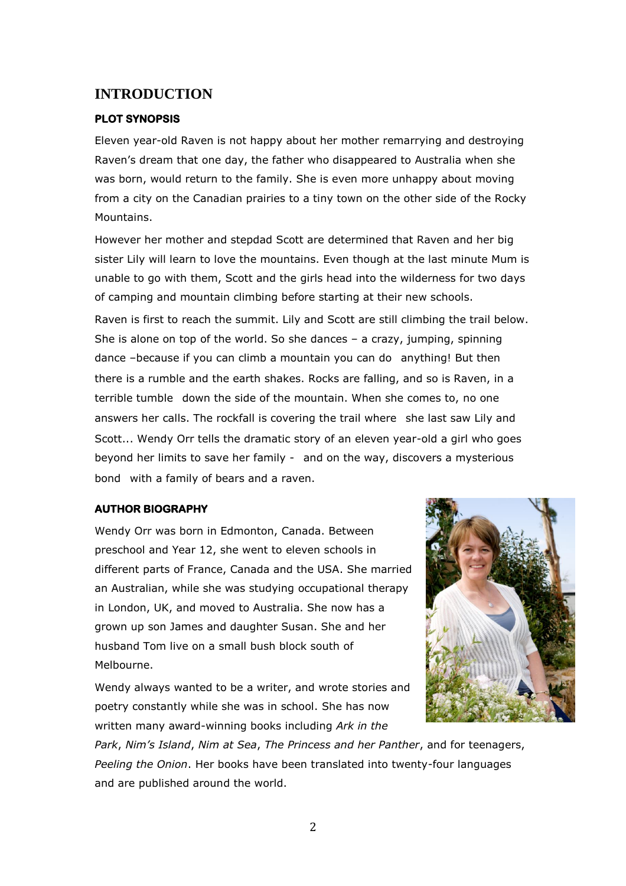### **INTRODUCTION**

#### **PLOT SYNOPSIS**

Eleven year-old Raven is not happy about her mother remarrying and destroying Raven's dream that one day, the father who disappeared to Australia when she was born, would return to the family. She is even more unhappy about moving from a city on the Canadian prairies to a tiny town on the other side of the Rocky Mountains.

However her mother and stepdad Scott are determined that Raven and her big sister Lily will learn to love the mountains. Even though at the last minute Mum is unable to go with them, Scott and the girls head into the wilderness for two days of camping and mountain climbing before starting at their new schools.

Raven is first to reach the summit. Lily and Scott are still climbing the trail below. She is alone on top of the world. So she dances – a crazy, jumping, spinning dance –because if you can climb a mountain you can do anything! But then there is a rumble and the earth shakes. Rocks are falling, and so is Raven, in a terrible tumble down the side of the mountain. When she comes to, no one answers her calls. The rockfall is covering the trail where she last saw Lily and Scott... Wendy Orr tells the dramatic story of an eleven year-old a girl who goes beyond her limits to save her family - and on the way, discovers a mysterious bond with a family of bears and a raven.

#### **AUTHOR BIOGRAPHY**

Wendy Orr was born in Edmonton, Canada. Between preschool and Year 12, she went to eleven schools in different parts of France, Canada and the USA. She married an Australian, while she was studying occupational therapy in London, UK, and moved to Australia. She now has a grown up son James and daughter Susan. She and her husband Tom live on a small bush block south of Melbourne.

Wendy always wanted to be a writer, and wrote stories and poetry constantly while she was in school. She has now written many award-winning books including *Ark in the* 



*Park*, *Nim's Island*, *Nim at Sea*, *The Princess and her Panther*, and for teenagers, *Peeling the Onion*. Her books have been translated into twenty-four languages and are published around the world.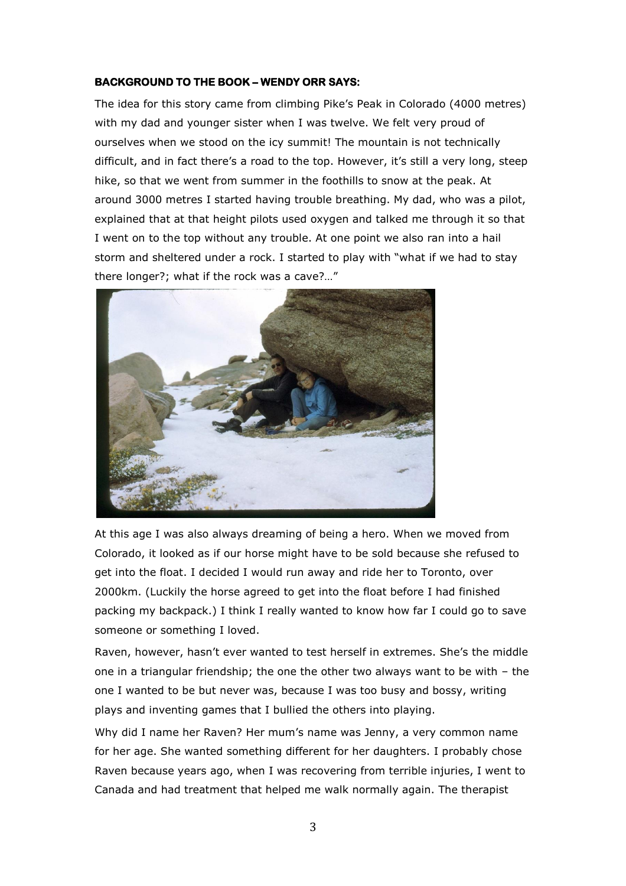#### **BACKGROUND TO THE BOOK – WENDY ORR SAYS:**

The idea for this story came from climbing Pike's Peak in Colorado (4000 metres) with my dad and younger sister when I was twelve. We felt very proud of ourselves when we stood on the icy summit! The mountain is not technically difficult, and in fact there's a road to the top. However, it's still a very long, steep hike, so that we went from summer in the foothills to snow at the peak. At around 3000 metres I started having trouble breathing. My dad, who was a pilot, explained that at that height pilots used oxygen and talked me through it so that I went on to the top without any trouble. At one point we also ran into a hail storm and sheltered under a rock. I started to play with "what if we had to stay there longer?; what if the rock was a cave?…"



At this age I was also always dreaming of being a hero. When we moved from Colorado, it looked as if our horse might have to be sold because she refused to get into the float. I decided I would run away and ride her to Toronto, over 2000km. (Luckily the horse agreed to get into the float before I had finished packing my backpack.) I think I really wanted to know how far I could go to save someone or something I loved.

Raven, however, hasn't ever wanted to test herself in extremes. She's the middle one in a triangular friendship; the one the other two always want to be with – the one I wanted to be but never was, because I was too busy and bossy, writing plays and inventing games that I bullied the others into playing.

Why did I name her Raven? Her mum's name was Jenny, a very common name for her age. She wanted something different for her daughters. I probably chose Raven because years ago, when I was recovering from terrible injuries, I went to Canada and had treatment that helped me walk normally again. The therapist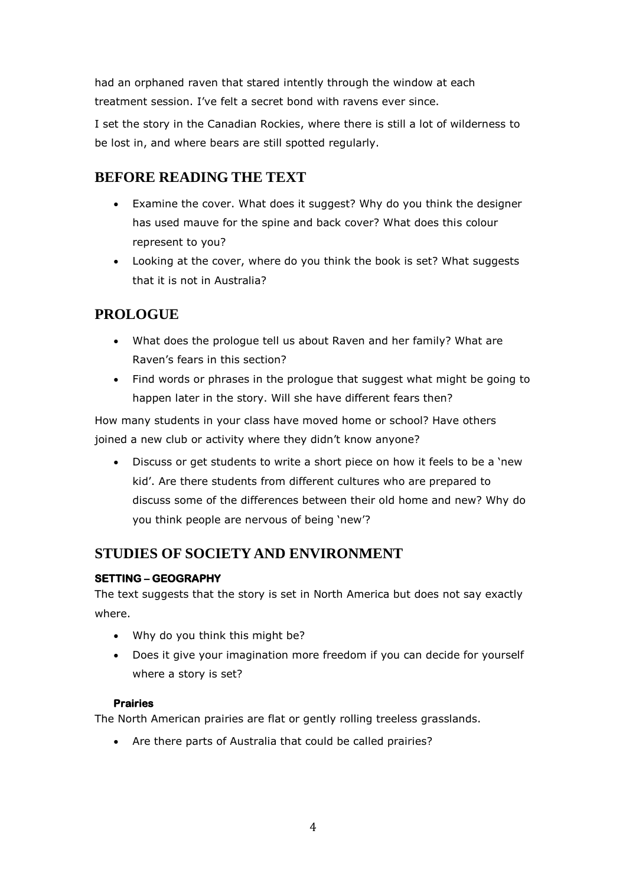had an orphaned raven that stared intently through the window at each treatment session. I've felt a secret bond with ravens ever since.

I set the story in the Canadian Rockies, where there is still a lot of wilderness to be lost in, and where bears are still spotted regularly.

# **BEFORE READING THE TEXT**

- Examine the cover. What does it suggest? Why do you think the designer has used mauve for the spine and back cover? What does this colour represent to you?
- Looking at the cover, where do you think the book is set? What suggests that it is not in Australia?

# **PROLOGUE**

- What does the prologue tell us about Raven and her family? What are Raven's fears in this section?
- Find words or phrases in the prologue that suggest what might be going to happen later in the story. Will she have different fears then?

How many students in your class have moved home or school? Have others joined a new club or activity where they didn't know anyone?

 Discuss or get students to write a short piece on how it feels to be a 'new kid'. Are there students from different cultures who are prepared to discuss some of the differences between their old home and new? Why do you think people are nervous of being 'new'?

# **STUDIES OF SOCIETY AND ENVIRONMENT**

#### **SETTING – GEOGRAPHY**

The text suggests that the story is set in North America but does not say exactly where.

- Why do you think this might be?
- Does it give your imagination more freedom if you can decide for yourself where a story is set?

#### **Prairies**

The North American prairies are flat or gently rolling treeless grasslands.

Are there parts of Australia that could be called prairies?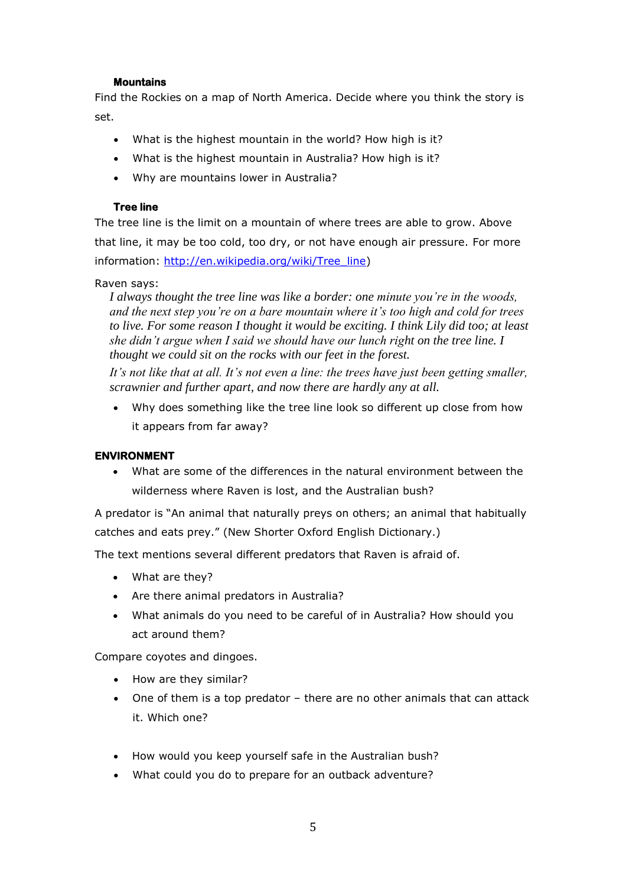#### **Mountains**

Find the Rockies on a map of North America. Decide where you think the story is set.

- What is the highest mountain in the world? How high is it?
- What is the highest mountain in Australia? How high is it?
- Why are mountains lower in Australia?

#### **Tree line**

The tree line is the limit on a mountain of where trees are able to grow. Above that line, it may be too cold, too dry, or not have enough air pressure. For more information: [http://en.wikipedia.org/wiki/Tree\\_line\)](http://en.wikipedia.org/wiki/Tree_line)

#### Raven says:

*I always thought the tree line was like a border: one minute you're in the woods, and the next step you're on a bare mountain where it's too high and cold for trees to live. For some reason I thought it would be exciting. I think Lily did too; at least she didn't argue when I said we should have our lunch right on the tree line. I thought we could sit on the rocks with our feet in the forest.*

*It's not like that at all. It's not even a line: the trees have just been getting smaller, scrawnier and further apart, and now there are hardly any at all.*

 Why does something like the tree line look so different up close from how it appears from far away?

#### **ENVIRONMENT**

 What are some of the differences in the natural environment between the wilderness where Raven is lost, and the Australian bush?

A predator is "An animal that naturally preys on others; an animal that habitually catches and eats prey." (New Shorter Oxford English Dictionary.)

The text mentions several different predators that Raven is afraid of.

- What are they?
- Are there animal predators in Australia?
- What animals do you need to be careful of in Australia? How should you act around them?

Compare coyotes and dingoes.

- How are they similar?
- One of them is a top predator there are no other animals that can attack it. Which one?
- How would you keep yourself safe in the Australian bush?
- What could you do to prepare for an outback adventure?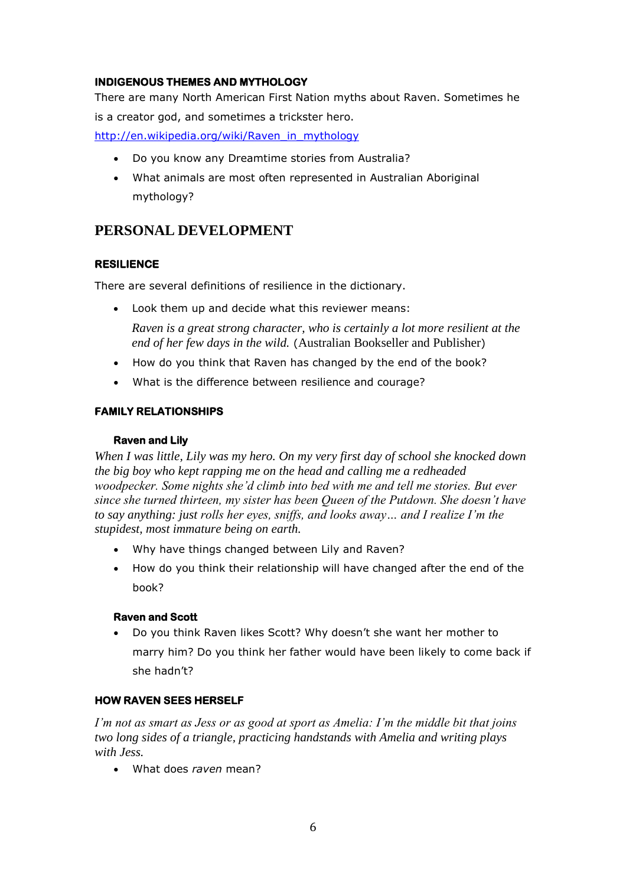#### **INDIGENOUS THEMES AND MYTHOLOGY**

There are many North American First Nation myths about Raven. Sometimes he is a creator god, and sometimes a trickster hero.

[http://en.wikipedia.org/wiki/Raven\\_in\\_mythology](http://en.wikipedia.org/wiki/Raven_in_mythology)

- Do you know any Dreamtime stories from Australia?
- What animals are most often represented in Australian Aboriginal mythology?

# **PERSONAL DEVELOPMENT**

#### **RESILIENCE**

There are several definitions of resilience in the dictionary.

Look them up and decide what this reviewer means:

*Raven is a great strong character, who is certainly a lot more resilient at the end of her few days in the wild.* (Australian Bookseller and Publisher)

- How do you think that Raven has changed by the end of the book?
- What is the difference between resilience and courage?

#### **FAMILY RELATIONSHIPS**

#### **Raven and Lily**

*When I was little, Lily was my hero. On my very first day of school she knocked down the big boy who kept rapping me on the head and calling me a redheaded woodpecker. Some nights she'd climb into bed with me and tell me stories. But ever since she turned thirteen, my sister has been Queen of the Putdown. She doesn't have to say anything: just rolls her eyes, sniffs, and looks away… and I realize I'm the stupidest, most immature being on earth.* 

- Why have things changed between Lily and Raven?
- How do you think their relationship will have changed after the end of the book?

#### **Raven and Scott**

 Do you think Raven likes Scott? Why doesn't she want her mother to marry him? Do you think her father would have been likely to come back if she hadn't?

#### **HOW RAVEN SEES HERSELF**

*I'm not as smart as Jess or as good at sport as Amelia: I'm the middle bit that joins two long sides of a triangle, practicing handstands with Amelia and writing plays with Jess.*

What does *raven* mean?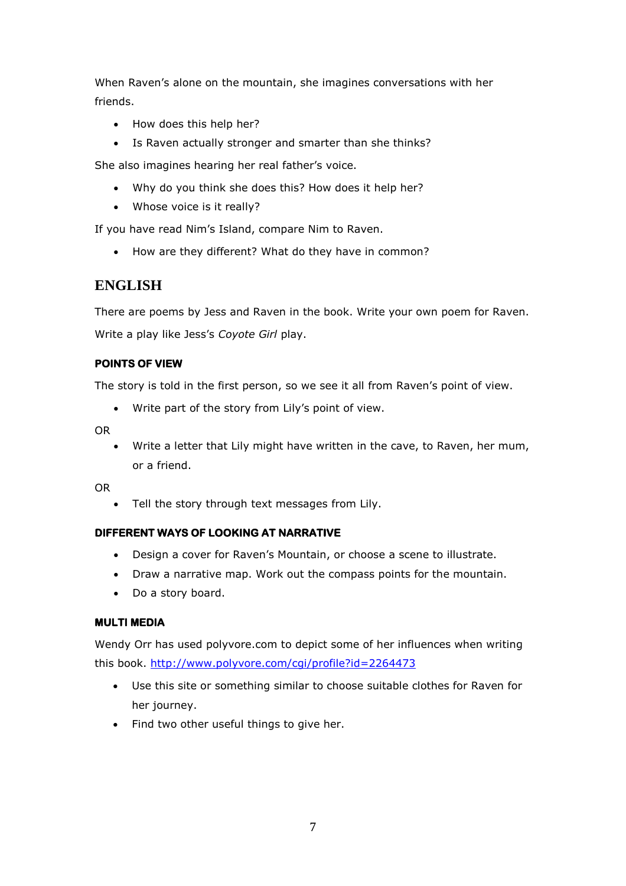When Raven's alone on the mountain, she imagines conversations with her friends.

- How does this help her?
- Is Raven actually stronger and smarter than she thinks?

She also imagines hearing her real father's voice.

- Why do you think she does this? How does it help her?
- Whose voice is it really?

If you have read Nim's Island, compare Nim to Raven.

• How are they different? What do they have in common?

## **ENGLISH**

There are poems by Jess and Raven in the book. Write your own poem for Raven. Write a play like Jess's *Coyote Girl* play.

#### **POINTS OF VIEW**

The story is told in the first person, so we see it all from Raven's point of view.

Write part of the story from Lily's point of view.

OR

 Write a letter that Lily might have written in the cave, to Raven, her mum, or a friend.

OR

Tell the story through text messages from Lily.

#### **DIFFERENT WAYS OF LOOKING AT NARRATIVE**

- Design a cover for Raven's Mountain, or choose a scene to illustrate.
- Draw a narrative map. Work out the compass points for the mountain.
- Do a story board.

#### **MULTI MEDIA**

Wendy Orr has used polyvore.com to depict some of her influences when writing this book.<http://www.polyvore.com/cgi/profile?id=2264473>

- Use this site or something similar to choose suitable clothes for Raven for her journey.
- Find two other useful things to give her.